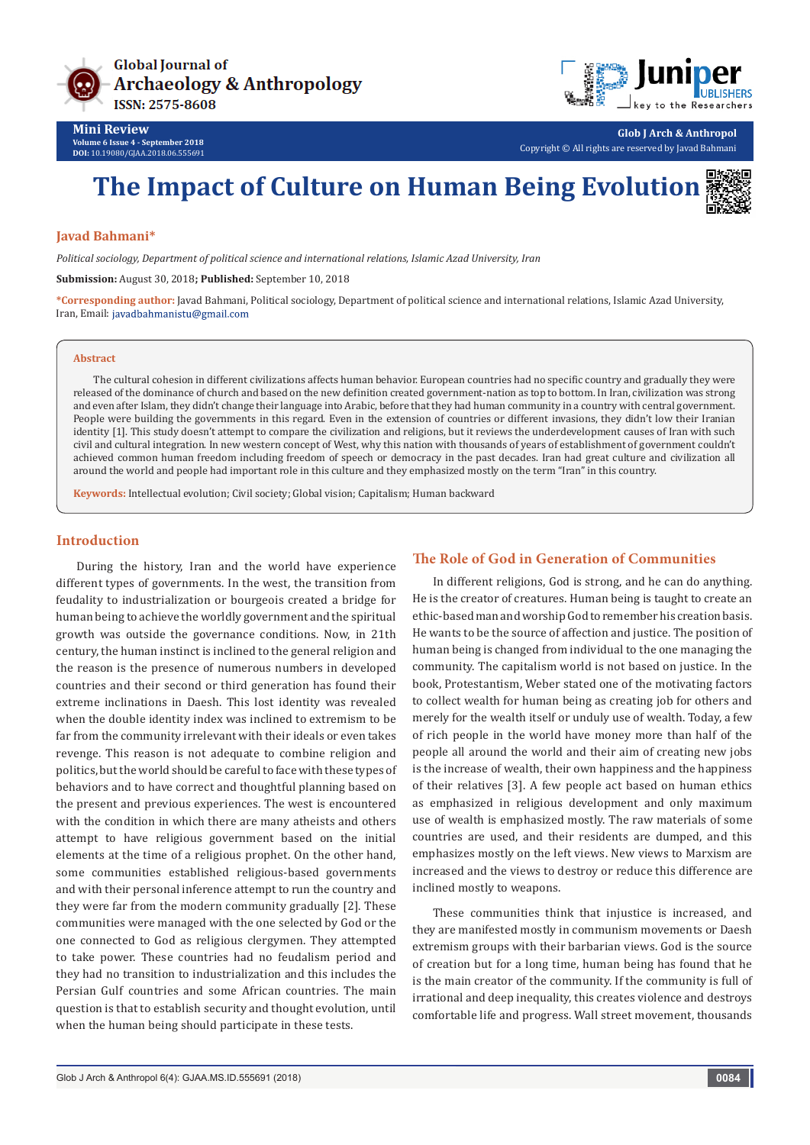



**Glob J Arch & Anthropol** Copyright © All rights are reserved by Javad Bahmani

# **The Impact of Culture on Human Being Evolution**

#### **Javad Bahmani\***

*Political sociology, Department of political science and international relations, Islamic Azad University, Iran*

**Submission:** August 30, 2018**; Published:** September 10, 2018

**\*Corresponding author:** Javad Bahmani, Political sociology, Department of political science and international relations, Islamic Azad University, Iran, Email: javadbahmanistu@gmail.com

#### **Abstract**

The cultural cohesion in different civilizations affects human behavior. European countries had no specific country and gradually they were released of the dominance of church and based on the new definition created government-nation as top to bottom. In Iran, civilization was strong and even after Islam, they didn't change their language into Arabic, before that they had human community in a country with central government. People were building the governments in this regard. Even in the extension of countries or different invasions, they didn't low their Iranian identity [1]. This study doesn't attempt to compare the civilization and religions, but it reviews the underdevelopment causes of Iran with such civil and cultural integration. In new western concept of West, why this nation with thousands of years of establishment of government couldn't achieved common human freedom including freedom of speech or democracy in the past decades. Iran had great culture and civilization all around the world and people had important role in this culture and they emphasized mostly on the term "Iran" in this country.

**Keywords:** Intellectual evolution; Civil society; Global vision; Capitalism; Human backward

#### **Introduction**

During the history, Iran and the world have experience different types of governments. In the west, the transition from feudality to industrialization or bourgeois created a bridge for human being to achieve the worldly government and the spiritual growth was outside the governance conditions. Now, in 21th century, the human instinct is inclined to the general religion and the reason is the presence of numerous numbers in developed countries and their second or third generation has found their extreme inclinations in Daesh. This lost identity was revealed when the double identity index was inclined to extremism to be far from the community irrelevant with their ideals or even takes revenge. This reason is not adequate to combine religion and politics, but the world should be careful to face with these types of behaviors and to have correct and thoughtful planning based on the present and previous experiences. The west is encountered with the condition in which there are many atheists and others attempt to have religious government based on the initial elements at the time of a religious prophet. On the other hand, some communities established religious-based governments and with their personal inference attempt to run the country and they were far from the modern community gradually [2]. These communities were managed with the one selected by God or the one connected to God as religious clergymen. They attempted to take power. These countries had no feudalism period and they had no transition to industrialization and this includes the Persian Gulf countries and some African countries. The main question is that to establish security and thought evolution, until when the human being should participate in these tests.

#### **The Role of God in Generation of Communities**

In different religions, God is strong, and he can do anything. He is the creator of creatures. Human being is taught to create an ethic-based man and worship God to remember his creation basis. He wants to be the source of affection and justice. The position of human being is changed from individual to the one managing the community. The capitalism world is not based on justice. In the book, Protestantism, Weber stated one of the motivating factors to collect wealth for human being as creating job for others and merely for the wealth itself or unduly use of wealth. Today, a few of rich people in the world have money more than half of the people all around the world and their aim of creating new jobs is the increase of wealth, their own happiness and the happiness of their relatives [3]. A few people act based on human ethics as emphasized in religious development and only maximum use of wealth is emphasized mostly. The raw materials of some countries are used, and their residents are dumped, and this emphasizes mostly on the left views. New views to Marxism are increased and the views to destroy or reduce this difference are inclined mostly to weapons.

These communities think that injustice is increased, and they are manifested mostly in communism movements or Daesh extremism groups with their barbarian views. God is the source of creation but for a long time, human being has found that he is the main creator of the community. If the community is full of irrational and deep inequality, this creates violence and destroys comfortable life and progress. Wall street movement, thousands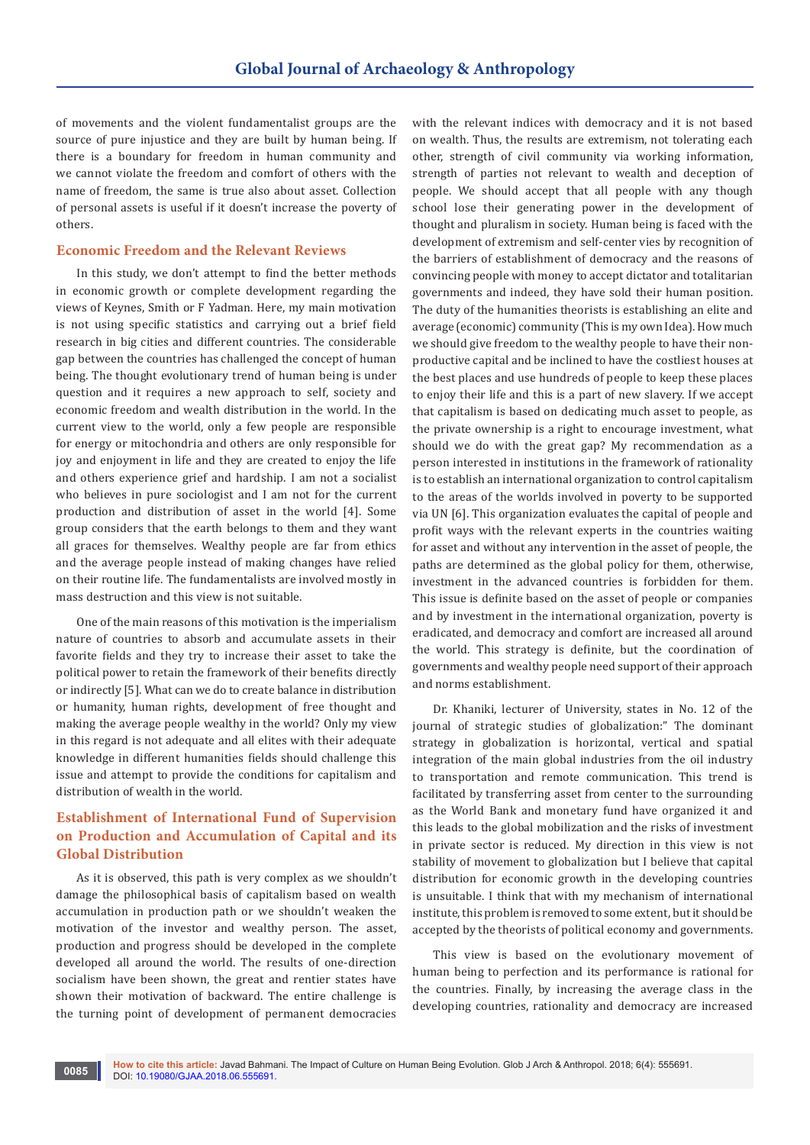of movements and the violent fundamentalist groups are the source of pure injustice and they are built by human being. If there is a boundary for freedom in human community and we cannot violate the freedom and comfort of others with the name of freedom, the same is true also about asset. Collection of personal assets is useful if it doesn't increase the poverty of others.

#### **Economic Freedom and the Relevant Reviews**

In this study, we don't attempt to find the better methods in economic growth or complete development regarding the views of Keynes, Smith or F Yadman. Here, my main motivation is not using specific statistics and carrying out a brief field research in big cities and different countries. The considerable gap between the countries has challenged the concept of human being. The thought evolutionary trend of human being is under question and it requires a new approach to self, society and economic freedom and wealth distribution in the world. In the current view to the world, only a few people are responsible for energy or mitochondria and others are only responsible for joy and enjoyment in life and they are created to enjoy the life and others experience grief and hardship. I am not a socialist who believes in pure sociologist and I am not for the current production and distribution of asset in the world [4]. Some group considers that the earth belongs to them and they want all graces for themselves. Wealthy people are far from ethics and the average people instead of making changes have relied on their routine life. The fundamentalists are involved mostly in mass destruction and this view is not suitable.

One of the main reasons of this motivation is the imperialism nature of countries to absorb and accumulate assets in their favorite fields and they try to increase their asset to take the political power to retain the framework of their benefits directly or indirectly [5]. What can we do to create balance in distribution or humanity, human rights, development of free thought and making the average people wealthy in the world? Only my view in this regard is not adequate and all elites with their adequate knowledge in different humanities fields should challenge this issue and attempt to provide the conditions for capitalism and distribution of wealth in the world.

# **Establishment of International Fund of Supervision on Production and Accumulation of Capital and its Global Distribution**

As it is observed, this path is very complex as we shouldn't damage the philosophical basis of capitalism based on wealth accumulation in production path or we shouldn't weaken the motivation of the investor and wealthy person. The asset, production and progress should be developed in the complete developed all around the world. The results of one-direction socialism have been shown, the great and rentier states have shown their motivation of backward. The entire challenge is the turning point of development of permanent democracies

with the relevant indices with democracy and it is not based on wealth. Thus, the results are extremism, not tolerating each other, strength of civil community via working information, strength of parties not relevant to wealth and deception of people. We should accept that all people with any though school lose their generating power in the development of thought and pluralism in society. Human being is faced with the development of extremism and self-center vies by recognition of the barriers of establishment of democracy and the reasons of convincing people with money to accept dictator and totalitarian governments and indeed, they have sold their human position. The duty of the humanities theorists is establishing an elite and average (economic) community (This is my own Idea). How much we should give freedom to the wealthy people to have their nonproductive capital and be inclined to have the costliest houses at the best places and use hundreds of people to keep these places to enjoy their life and this is a part of new slavery. If we accept that capitalism is based on dedicating much asset to people, as the private ownership is a right to encourage investment, what should we do with the great gap? My recommendation as a person interested in institutions in the framework of rationality is to establish an international organization to control capitalism to the areas of the worlds involved in poverty to be supported via UN [6]. This organization evaluates the capital of people and profit ways with the relevant experts in the countries waiting for asset and without any intervention in the asset of people, the paths are determined as the global policy for them, otherwise, investment in the advanced countries is forbidden for them. This issue is definite based on the asset of people or companies and by investment in the international organization, poverty is eradicated, and democracy and comfort are increased all around the world. This strategy is definite, but the coordination of governments and wealthy people need support of their approach and norms establishment.

Dr. Khaniki, lecturer of University, states in No. 12 of the journal of strategic studies of globalization:" The dominant strategy in globalization is horizontal, vertical and spatial integration of the main global industries from the oil industry to transportation and remote communication. This trend is facilitated by transferring asset from center to the surrounding as the World Bank and monetary fund have organized it and this leads to the global mobilization and the risks of investment in private sector is reduced. My direction in this view is not stability of movement to globalization but I believe that capital distribution for economic growth in the developing countries is unsuitable. I think that with my mechanism of international institute, this problem is removed to some extent, but it should be accepted by the theorists of political economy and governments.

This view is based on the evolutionary movement of human being to perfection and its performance is rational for the countries. Finally, by increasing the average class in the developing countries, rationality and democracy are increased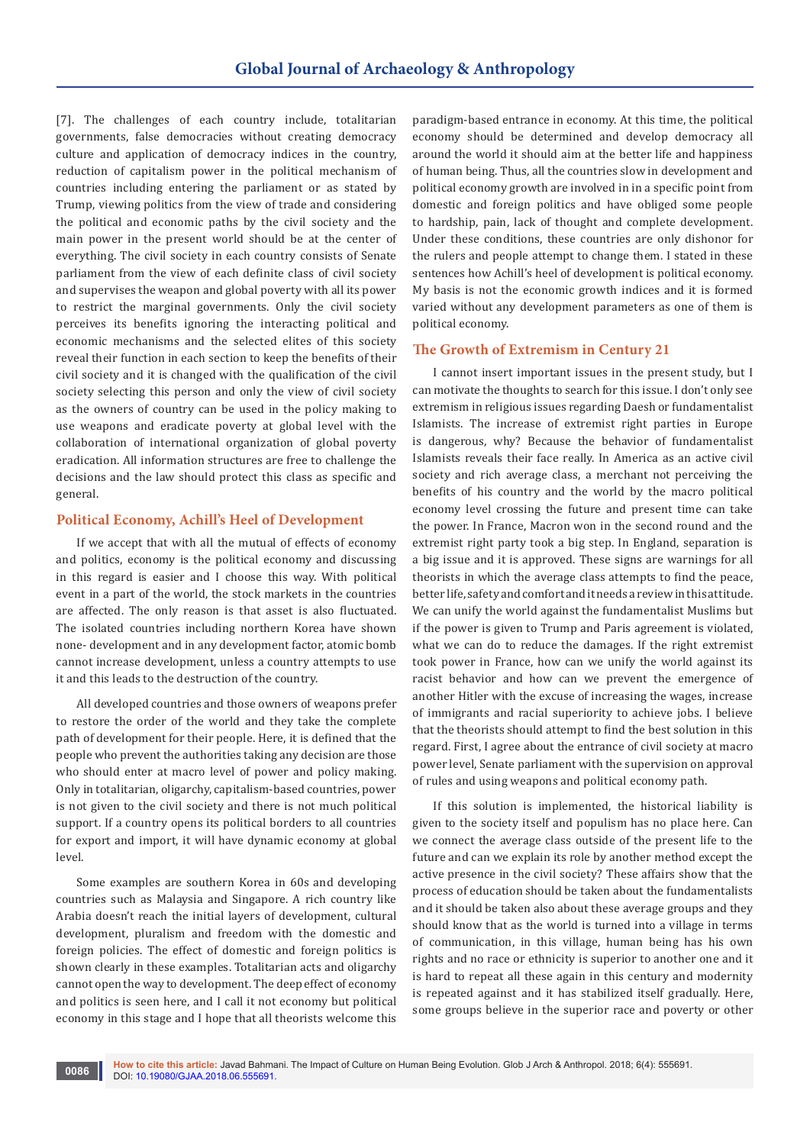[7]. The challenges of each country include, totalitarian governments, false democracies without creating democracy culture and application of democracy indices in the country, reduction of capitalism power in the political mechanism of countries including entering the parliament or as stated by Trump, viewing politics from the view of trade and considering the political and economic paths by the civil society and the main power in the present world should be at the center of everything. The civil society in each country consists of Senate parliament from the view of each definite class of civil society and supervises the weapon and global poverty with all its power to restrict the marginal governments. Only the civil society perceives its benefits ignoring the interacting political and economic mechanisms and the selected elites of this society reveal their function in each section to keep the benefits of their civil society and it is changed with the qualification of the civil society selecting this person and only the view of civil society as the owners of country can be used in the policy making to use weapons and eradicate poverty at global level with the collaboration of international organization of global poverty eradication. All information structures are free to challenge the decisions and the law should protect this class as specific and general.

#### **Political Economy, Achill's Heel of Development**

If we accept that with all the mutual of effects of economy and politics, economy is the political economy and discussing in this regard is easier and I choose this way. With political event in a part of the world, the stock markets in the countries are affected. The only reason is that asset is also fluctuated. The isolated countries including northern Korea have shown none- development and in any development factor, atomic bomb cannot increase development, unless a country attempts to use it and this leads to the destruction of the country.

All developed countries and those owners of weapons prefer to restore the order of the world and they take the complete path of development for their people. Here, it is defined that the people who prevent the authorities taking any decision are those who should enter at macro level of power and policy making. Only in totalitarian, oligarchy, capitalism-based countries, power is not given to the civil society and there is not much political support. If a country opens its political borders to all countries for export and import, it will have dynamic economy at global level.

Some examples are southern Korea in 60s and developing countries such as Malaysia and Singapore. A rich country like Arabia doesn't reach the initial layers of development, cultural development, pluralism and freedom with the domestic and foreign policies. The effect of domestic and foreign politics is shown clearly in these examples. Totalitarian acts and oligarchy cannot open the way to development. The deep effect of economy and politics is seen here, and I call it not economy but political economy in this stage and I hope that all theorists welcome this

paradigm-based entrance in economy. At this time, the political economy should be determined and develop democracy all around the world it should aim at the better life and happiness of human being. Thus, all the countries slow in development and political economy growth are involved in in a specific point from domestic and foreign politics and have obliged some people to hardship, pain, lack of thought and complete development. Under these conditions, these countries are only dishonor for the rulers and people attempt to change them. I stated in these sentences how Achill's heel of development is political economy. My basis is not the economic growth indices and it is formed varied without any development parameters as one of them is political economy.

## **The Growth of Extremism in Century 21**

I cannot insert important issues in the present study, but I can motivate the thoughts to search for this issue. I don't only see extremism in religious issues regarding Daesh or fundamentalist Islamists. The increase of extremist right parties in Europe is dangerous, why? Because the behavior of fundamentalist Islamists reveals their face really. In America as an active civil society and rich average class, a merchant not perceiving the benefits of his country and the world by the macro political economy level crossing the future and present time can take the power. In France, Macron won in the second round and the extremist right party took a big step. In England, separation is a big issue and it is approved. These signs are warnings for all theorists in which the average class attempts to find the peace, better life, safety and comfort and it needs a review in this attitude. We can unify the world against the fundamentalist Muslims but if the power is given to Trump and Paris agreement is violated, what we can do to reduce the damages. If the right extremist took power in France, how can we unify the world against its racist behavior and how can we prevent the emergence of another Hitler with the excuse of increasing the wages, increase of immigrants and racial superiority to achieve jobs. I believe that the theorists should attempt to find the best solution in this regard. First, I agree about the entrance of civil society at macro power level, Senate parliament with the supervision on approval of rules and using weapons and political economy path.

If this solution is implemented, the historical liability is given to the society itself and populism has no place here. Can we connect the average class outside of the present life to the future and can we explain its role by another method except the active presence in the civil society? These affairs show that the process of education should be taken about the fundamentalists and it should be taken also about these average groups and they should know that as the world is turned into a village in terms of communication, in this village, human being has his own rights and no race or ethnicity is superior to another one and it is hard to repeat all these again in this century and modernity is repeated against and it has stabilized itself gradually. Here, some groups believe in the superior race and poverty or other